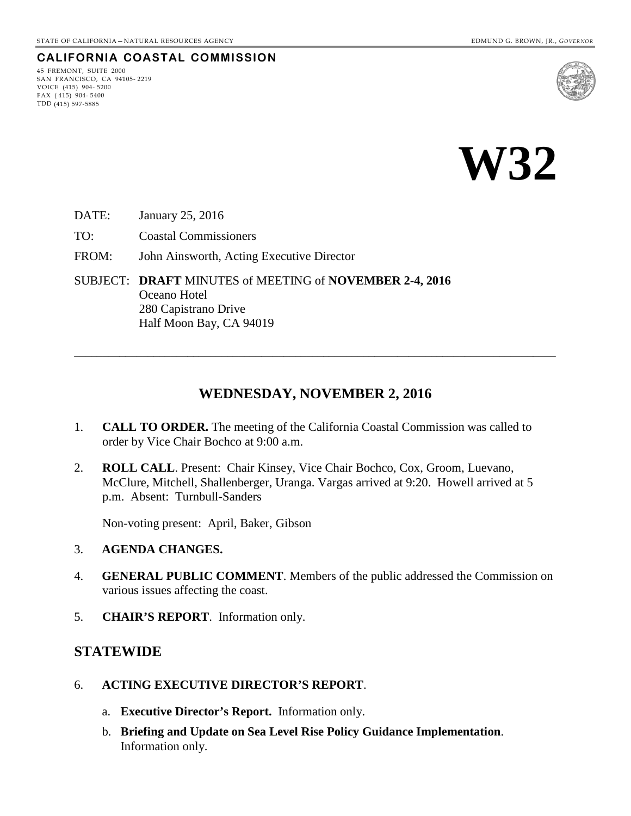#### **CALIFORNIA COASTAL COMMISSION**

45 FREMONT, SUITE 2000 SAN FRANCISCO, CA 94105- 2219 VOICE (415) 904- 5200  $FAX (415) 904 - 5400$ TDD (415) 597-5885



**W32** 

DATE: January 25, 2016

TO: Coastal Commissioners

FROM: John Ainsworth, Acting Executive Director

SUBJECT: **DRAFT** MINUTES of MEETING of **NOVEMBER 2-4, 2016** Oceano Hotel 280 Capistrano Drive Half Moon Bay, CA 94019

## **WEDNESDAY, NOVEMBER 2, 2016**

\_\_\_\_\_\_\_\_\_\_\_\_\_\_\_\_\_\_\_\_\_\_\_\_\_\_\_\_\_\_\_\_\_\_\_\_\_\_\_\_\_\_\_\_\_\_\_\_\_\_\_\_\_\_\_\_\_\_\_\_\_\_\_\_\_\_\_\_\_\_\_\_\_\_\_\_\_\_\_\_\_\_\_\_\_

- 1. **CALL TO ORDER.** The meeting of the California Coastal Commission was called to order by Vice Chair Bochco at 9:00 a.m.
- 2. **ROLL CALL**. Present: Chair Kinsey, Vice Chair Bochco, Cox, Groom, Luevano, McClure, Mitchell, Shallenberger, Uranga. Vargas arrived at 9:20. Howell arrived at 5 p.m. Absent: Turnbull-Sanders

Non-voting present: April, Baker, Gibson

- 3. **AGENDA CHANGES.**
- 4. **GENERAL PUBLIC COMMENT**. Members of the public addressed the Commission on various issues affecting the coast.
- 5. **CHAIR'S REPORT**. Information only.

#### **STATEWIDE**

- 6. **ACTING EXECUTIVE DIRECTOR'S REPORT**.
	- a. **Executive Director's Report.** Information only.
	- b. **Briefing and Update on Sea Level Rise Policy Guidance Implementation**. Information only.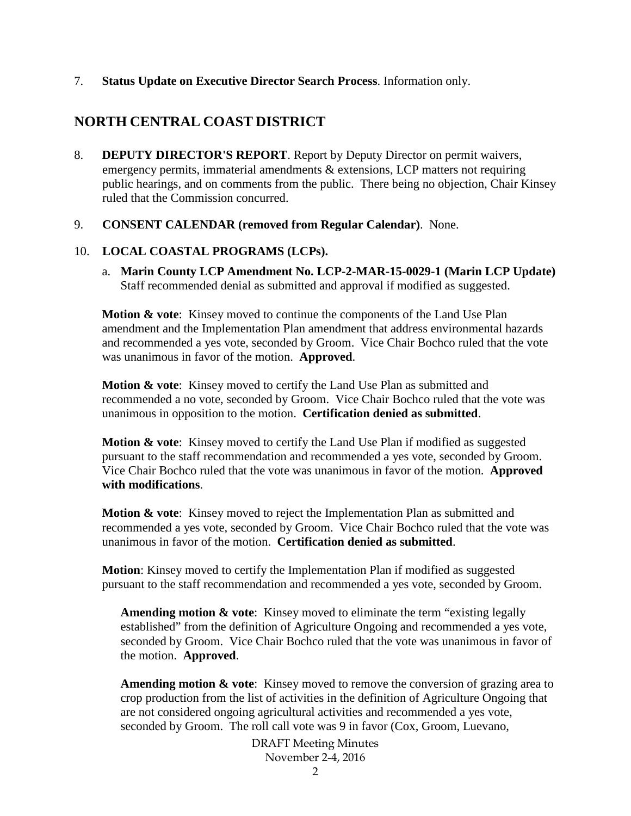#### 7. **Status Update on Executive Director Search Process**. Information only.

# **NORTH CENTRAL COAST DISTRICT**

8. **DEPUTY DIRECTOR'S REPORT**. Report by Deputy Director on permit waivers, emergency permits, immaterial amendments & extensions, LCP matters not requiring public hearings, and on comments from the public. There being no objection, Chair Kinsey ruled that the Commission concurred.

#### 9. **CONSENT CALENDAR (removed from Regular Calendar)**. None.

## 10. **LOCAL COASTAL PROGRAMS (LCPs).**

a. **Marin County LCP Amendment No. LCP-2-MAR-15-0029-1 (Marin LCP Update)**  Staff recommended denial as submitted and approval if modified as suggested.

**Motion & vote**: Kinsey moved to continue the components of the Land Use Plan amendment and the Implementation Plan amendment that address environmental hazards and recommended a yes vote, seconded by Groom. Vice Chair Bochco ruled that the vote was unanimous in favor of the motion. **Approved**.

**Motion & vote**: Kinsey moved to certify the Land Use Plan as submitted and recommended a no vote, seconded by Groom. Vice Chair Bochco ruled that the vote was unanimous in opposition to the motion. **Certification denied as submitted**.

**Motion & vote:** Kinsey moved to certify the Land Use Plan if modified as suggested pursuant to the staff recommendation and recommended a yes vote, seconded by Groom. Vice Chair Bochco ruled that the vote was unanimous in favor of the motion. **Approved with modifications**.

**Motion & vote:** Kinsey moved to reject the Implementation Plan as submitted and recommended a yes vote, seconded by Groom. Vice Chair Bochco ruled that the vote was unanimous in favor of the motion. **Certification denied as submitted**.

**Motion**: Kinsey moved to certify the Implementation Plan if modified as suggested pursuant to the staff recommendation and recommended a yes vote, seconded by Groom.

**Amending motion & vote**: Kinsey moved to eliminate the term "existing legally established" from the definition of Agriculture Ongoing and recommended a yes vote, seconded by Groom. Vice Chair Bochco ruled that the vote was unanimous in favor of the motion. **Approved**.

**Amending motion & vote**: Kinsey moved to remove the conversion of grazing area to crop production from the list of activities in the definition of Agriculture Ongoing that are not considered ongoing agricultural activities and recommended a yes vote, seconded by Groom. The roll call vote was 9 in favor (Cox, Groom, Luevano,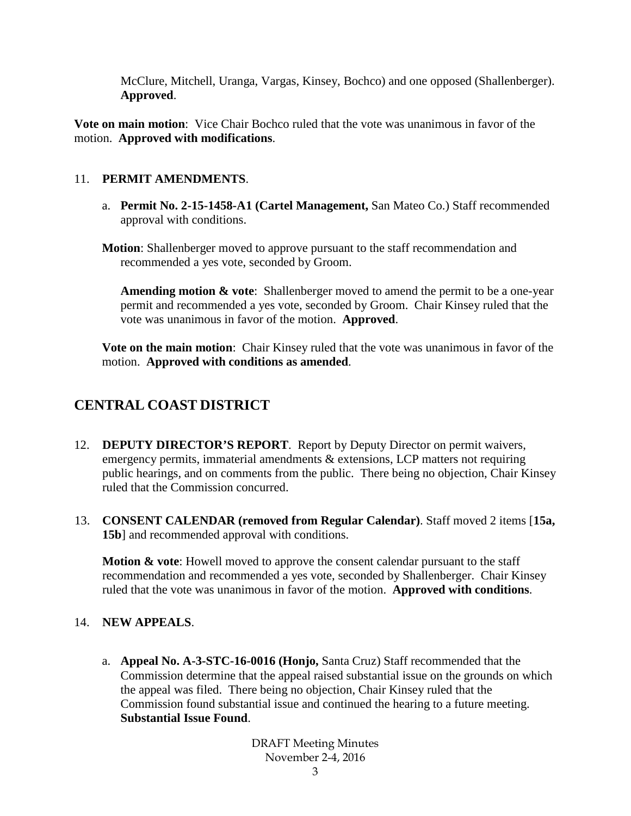McClure, Mitchell, Uranga, Vargas, Kinsey, Bochco) and one opposed (Shallenberger). **Approved**.

**Vote on main motion**: Vice Chair Bochco ruled that the vote was unanimous in favor of the motion. **Approved with modifications**.

### 11. **PERMIT AMENDMENTS**.

- a. **Permit No. 2-15-1458-A1 (Cartel Management,** San Mateo Co.) Staff recommended approval with conditions.
- **Motion**: Shallenberger moved to approve pursuant to the staff recommendation and recommended a yes vote, seconded by Groom.

**Amending motion & vote:** Shallenberger moved to amend the permit to be a one-year permit and recommended a yes vote, seconded by Groom. Chair Kinsey ruled that the vote was unanimous in favor of the motion. **Approved**.

**Vote on the main motion**: Chair Kinsey ruled that the vote was unanimous in favor of the motion. **Approved with conditions as amended**.

# **CENTRAL COAST DISTRICT**

- 12. **DEPUTY DIRECTOR'S REPORT**. Report by Deputy Director on permit waivers, emergency permits, immaterial amendments & extensions, LCP matters not requiring public hearings, and on comments from the public. There being no objection, Chair Kinsey ruled that the Commission concurred.
- 13. **CONSENT CALENDAR (removed from Regular Calendar)**. Staff moved 2 items [**15a, 15b**] and recommended approval with conditions.

**Motion & vote**: Howell moved to approve the consent calendar pursuant to the staff recommendation and recommended a yes vote, seconded by Shallenberger. Chair Kinsey ruled that the vote was unanimous in favor of the motion. **Approved with conditions**.

## 14. **NEW APPEALS**.

a. **Appeal No. A-3-STC-16-0016 (Honjo,** Santa Cruz) Staff recommended that the Commission determine that the appeal raised substantial issue on the grounds on which the appeal was filed. There being no objection, Chair Kinsey ruled that the Commission found substantial issue and continued the hearing to a future meeting. **Substantial Issue Found**.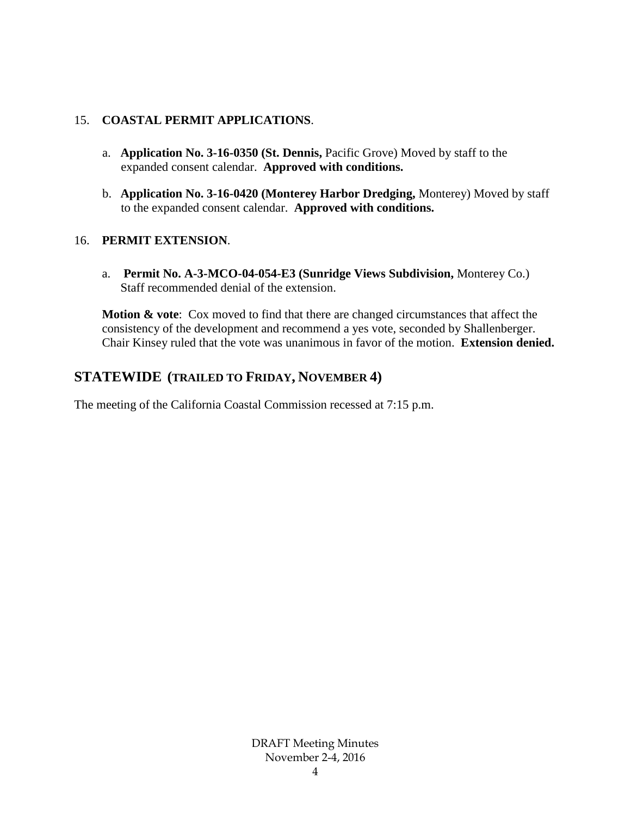### 15. **COASTAL PERMIT APPLICATIONS**.

- a. **Application No. 3-16-0350 (St. Dennis,** Pacific Grove) Moved by staff to the expanded consent calendar. **Approved with conditions.**
- b. **Application No. 3-16-0420 (Monterey Harbor Dredging,** Monterey) Moved by staff to the expanded consent calendar. **Approved with conditions.**

### 16. **PERMIT EXTENSION**.

a. **Permit No. A-3-MCO-04-054-E3 (Sunridge Views Subdivision,** Monterey Co.) Staff recommended denial of the extension.

**Motion & vote**: Cox moved to find that there are changed circumstances that affect the consistency of the development and recommend a yes vote, seconded by Shallenberger. Chair Kinsey ruled that the vote was unanimous in favor of the motion. **Extension denied.**

# **STATEWIDE (TRAILED TO FRIDAY, NOVEMBER 4)**

The meeting of the California Coastal Commission recessed at 7:15 p.m.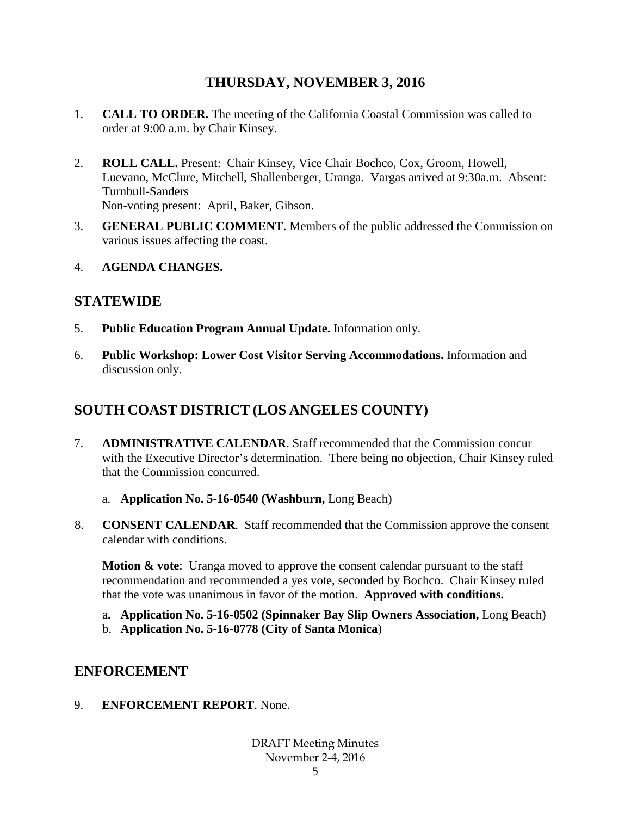# **THURSDAY, NOVEMBER 3, 2016**

- 1. **CALL TO ORDER.** The meeting of the California Coastal Commission was called to order at 9:00 a.m. by Chair Kinsey.
- 2. **ROLL CALL.** Present: Chair Kinsey, Vice Chair Bochco, Cox, Groom, Howell, Luevano, McClure, Mitchell, Shallenberger, Uranga. Vargas arrived at 9:30a.m. Absent: Turnbull-Sanders Non-voting present: April, Baker, Gibson.
- 3. **GENERAL PUBLIC COMMENT**. Members of the public addressed the Commission on various issues affecting the coast.
- 4. **AGENDA CHANGES.**

# **STATEWIDE**

- 5. **Public Education Program Annual Update.** Information only.
- 6. **Public Workshop: Lower Cost Visitor Serving Accommodations.** Information and discussion only.

# **SOUTH COAST DISTRICT (LOS ANGELES COUNTY)**

- 7. **ADMINISTRATIVE CALENDAR**. Staff recommended that the Commission concur with the Executive Director's determination. There being no objection, Chair Kinsey ruled that the Commission concurred.
	- a. **Application No. 5-16-0540 (Washburn,** Long Beach)
- 8. **CONSENT CALENDAR**. Staff recommended that the Commission approve the consent calendar with conditions.

**Motion & vote:** Uranga moved to approve the consent calendar pursuant to the staff recommendation and recommended a yes vote, seconded by Bochco. Chair Kinsey ruled that the vote was unanimous in favor of the motion. **Approved with conditions.**

- a**. Application No. 5-16-0502 (Spinnaker Bay Slip Owners Association,** Long Beach)
- b. **Application No. 5-16-0778 (City of Santa Monica**)

# **ENFORCEMENT**

9. **ENFORCEMENT REPORT**. None.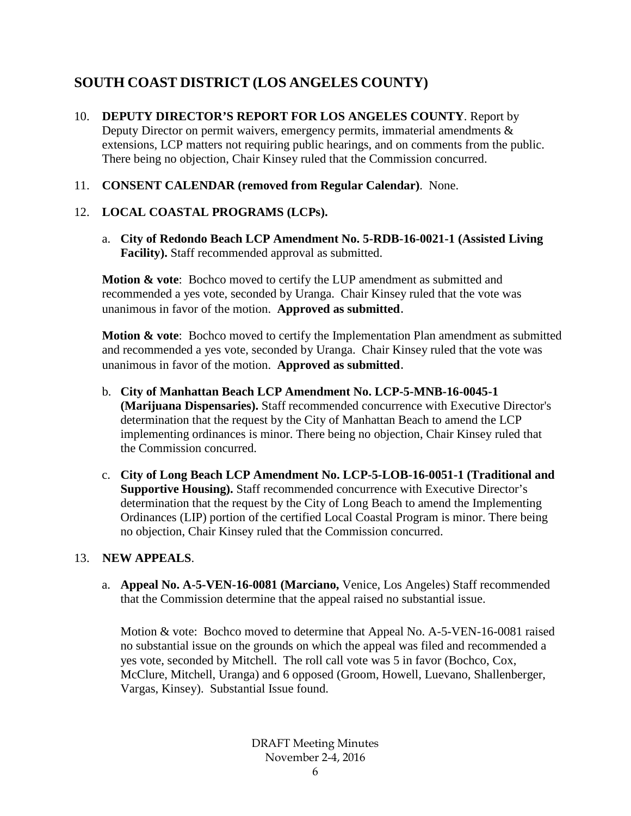# **SOUTH COAST DISTRICT (LOS ANGELES COUNTY)**

- 10. **DEPUTY DIRECTOR'S REPORT FOR LOS ANGELES COUNTY**. Report by Deputy Director on permit waivers, emergency permits, immaterial amendments & extensions, LCP matters not requiring public hearings, and on comments from the public. There being no objection, Chair Kinsey ruled that the Commission concurred.
- 11. **CONSENT CALENDAR (removed from Regular Calendar)**. None.

# 12. **LOCAL COASTAL PROGRAMS (LCPs).**

a. **City of Redondo Beach LCP Amendment No. 5-RDB-16-0021-1 (Assisted Living Facility).** Staff recommended approval as submitted.

**Motion & vote**: Bochco moved to certify the LUP amendment as submitted and recommended a yes vote, seconded by Uranga. Chair Kinsey ruled that the vote was unanimous in favor of the motion. **Approved as submitted**.

**Motion & vote:** Bochco moved to certify the Implementation Plan amendment as submitted and recommended a yes vote, seconded by Uranga. Chair Kinsey ruled that the vote was unanimous in favor of the motion. **Approved as submitted**.

- b. **City of Manhattan Beach LCP Amendment No. LCP-5-MNB-16-0045-1 (Marijuana Dispensaries).** Staff recommended concurrence with Executive Director's determination that the request by the City of Manhattan Beach to amend the LCP implementing ordinances is minor. There being no objection, Chair Kinsey ruled that the Commission concurred.
- c. **City of Long Beach LCP Amendment No. LCP-5-LOB-16-0051-1 (Traditional and Supportive Housing).** Staff recommended concurrence with Executive Director's determination that the request by the City of Long Beach to amend the Implementing Ordinances (LIP) portion of the certified Local Coastal Program is minor. There being no objection, Chair Kinsey ruled that the Commission concurred.

## 13. **NEW APPEALS**.

a. **Appeal No. A-5-VEN-16-0081 (Marciano,** Venice, Los Angeles) Staff recommended that the Commission determine that the appeal raised no substantial issue.

Motion & vote: Bochco moved to determine that Appeal No. A-5-VEN-16-0081 raised no substantial issue on the grounds on which the appeal was filed and recommended a yes vote, seconded by Mitchell. The roll call vote was 5 in favor (Bochco, Cox, McClure, Mitchell, Uranga) and 6 opposed (Groom, Howell, Luevano, Shallenberger, Vargas, Kinsey). Substantial Issue found.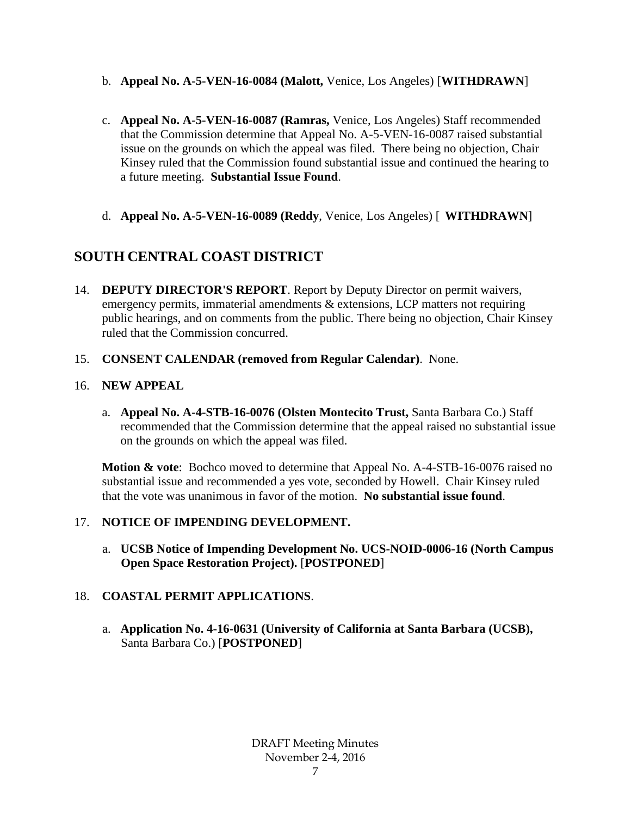- b. **Appeal No. A-5-VEN-16-0084 (Malott,** Venice, Los Angeles) [**WITHDRAWN**]
- c. **Appeal No. A-5-VEN-16-0087 (Ramras,** Venice, Los Angeles) Staff recommended that the Commission determine that Appeal No. A-5-VEN-16-0087 raised substantial issue on the grounds on which the appeal was filed. There being no objection, Chair Kinsey ruled that the Commission found substantial issue and continued the hearing to a future meeting. **Substantial Issue Found**.
- d. **Appeal No. A-5-VEN-16-0089 (Reddy**, Venice, Los Angeles) [ **WITHDRAWN**]

# **SOUTH CENTRAL COAST DISTRICT**

- 14. **DEPUTY DIRECTOR'S REPORT**. Report by Deputy Director on permit waivers, emergency permits, immaterial amendments & extensions, LCP matters not requiring public hearings, and on comments from the public. There being no objection, Chair Kinsey ruled that the Commission concurred.
- 15. **CONSENT CALENDAR (removed from Regular Calendar)**. None.

## 16. **NEW APPEAL**

a. **Appeal No. A-4-STB-16-0076 (Olsten Montecito Trust,** Santa Barbara Co.) Staff recommended that the Commission determine that the appeal raised no substantial issue on the grounds on which the appeal was filed.

**Motion & vote**: Bochco moved to determine that Appeal No. A-4-STB-16-0076 raised no substantial issue and recommended a yes vote, seconded by Howell. Chair Kinsey ruled that the vote was unanimous in favor of the motion. **No substantial issue found**.

## 17. **NOTICE OF IMPENDING DEVELOPMENT.**

a. **UCSB Notice of Impending Development No. UCS-NOID-0006-16 (North Campus Open Space Restoration Project).** [**POSTPONED**]

## 18. **COASTAL PERMIT APPLICATIONS**.

a. **Application No. 4-16-0631 (University of California at Santa Barbara (UCSB),**  Santa Barbara Co.) [**POSTPONED**]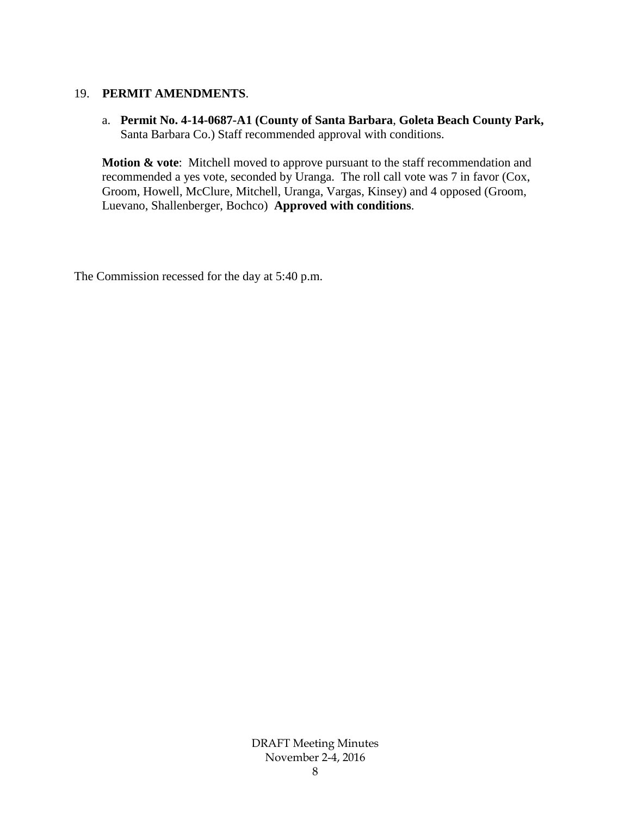#### 19. **PERMIT AMENDMENTS**.

a. **Permit No. 4-14-0687-A1 (County of Santa Barbara**, **Goleta Beach County Park,** Santa Barbara Co.) Staff recommended approval with conditions.

**Motion & vote**: Mitchell moved to approve pursuant to the staff recommendation and recommended a yes vote, seconded by Uranga. The roll call vote was 7 in favor (Cox, Groom, Howell, McClure, Mitchell, Uranga, Vargas, Kinsey) and 4 opposed (Groom, Luevano, Shallenberger, Bochco) **Approved with conditions**.

The Commission recessed for the day at 5:40 p.m.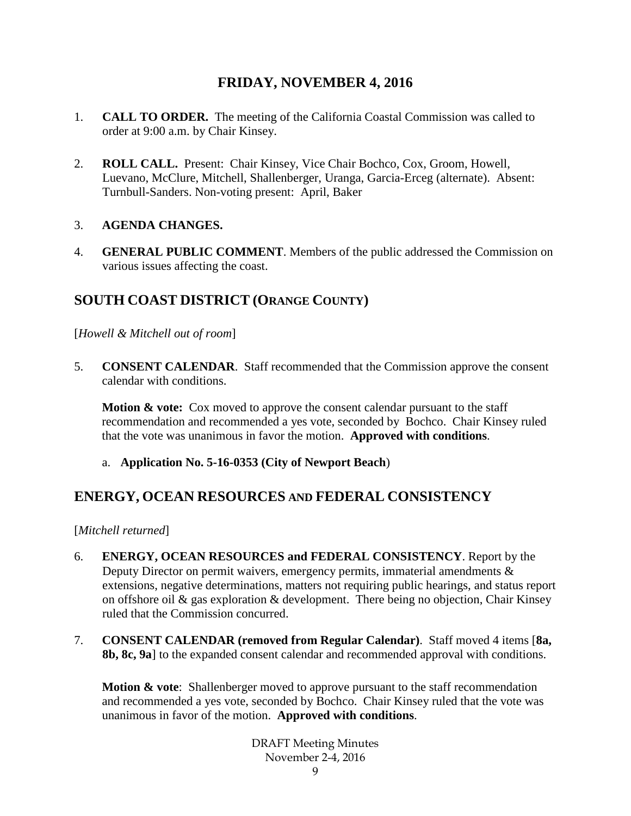# **FRIDAY, NOVEMBER 4, 2016**

- 1. **CALL TO ORDER.** The meeting of the California Coastal Commission was called to order at 9:00 a.m. by Chair Kinsey.
- 2. **ROLL CALL.** Present: Chair Kinsey, Vice Chair Bochco, Cox, Groom, Howell, Luevano, McClure, Mitchell, Shallenberger, Uranga, Garcia-Erceg (alternate). Absent: Turnbull-Sanders. Non-voting present: April, Baker

## 3. **AGENDA CHANGES.**

4. **GENERAL PUBLIC COMMENT**. Members of the public addressed the Commission on various issues affecting the coast.

# **SOUTH COAST DISTRICT (ORANGE COUNTY)**

[*Howell & Mitchell out of room*]

5. **CONSENT CALENDAR**. Staff recommended that the Commission approve the consent calendar with conditions.

**Motion & vote:** Cox moved to approve the consent calendar pursuant to the staff recommendation and recommended a yes vote, seconded by Bochco. Chair Kinsey ruled that the vote was unanimous in favor the motion. **Approved with conditions**.

a. **Application No. 5-16-0353 (City of Newport Beach**)

# **ENERGY, OCEAN RESOURCES AND FEDERAL CONSISTENCY**

[*Mitchell returned*]

- 6. **ENERGY, OCEAN RESOURCES and FEDERAL CONSISTENCY**. Report by the Deputy Director on permit waivers, emergency permits, immaterial amendments & extensions, negative determinations, matters not requiring public hearings, and status report on offshore oil & gas exploration & development. There being no objection, Chair Kinsey ruled that the Commission concurred.
- 7. **CONSENT CALENDAR (removed from Regular Calendar)**. Staff moved 4 items [**8a, 8b, 8c, 9a**] to the expanded consent calendar and recommended approval with conditions.

**Motion & vote**: Shallenberger moved to approve pursuant to the staff recommendation and recommended a yes vote, seconded by Bochco. Chair Kinsey ruled that the vote was unanimous in favor of the motion. **Approved with conditions**.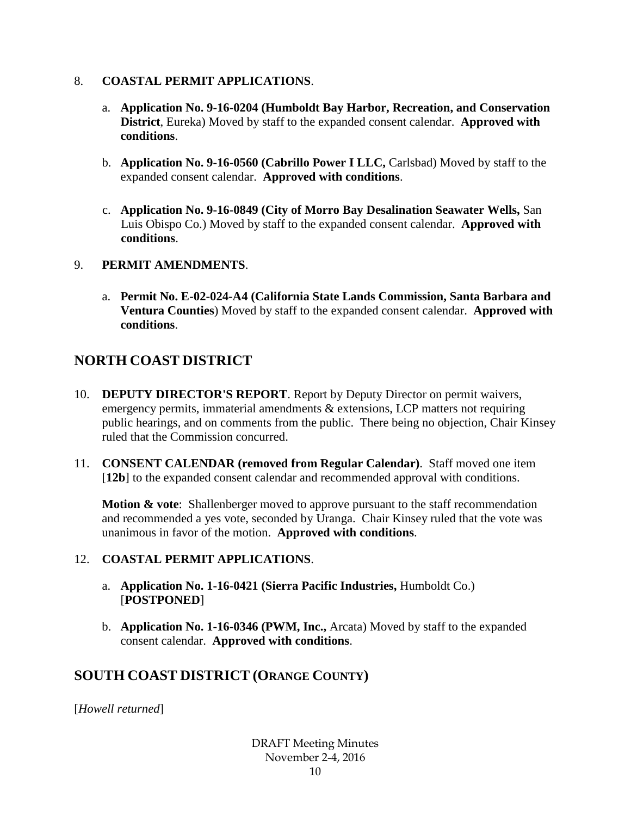## 8. **COASTAL PERMIT APPLICATIONS**.

- a. **Application No. 9-16-0204 (Humboldt Bay Harbor, Recreation, and Conservation District**, Eureka) Moved by staff to the expanded consent calendar. **Approved with conditions**.
- b. **Application No. 9-16-0560 (Cabrillo Power I LLC,** Carlsbad) Moved by staff to the expanded consent calendar. **Approved with conditions**.
- c. **Application No. 9-16-0849 (City of Morro Bay Desalination Seawater Wells,** San Luis Obispo Co.) Moved by staff to the expanded consent calendar. **Approved with conditions**.

## 9. **PERMIT AMENDMENTS**.

a. **Permit No. E-02-024-A4 (California State Lands Commission, Santa Barbara and Ventura Counties**) Moved by staff to the expanded consent calendar. **Approved with conditions**.

# **NORTH COAST DISTRICT**

- 10. **DEPUTY DIRECTOR'S REPORT**. Report by Deputy Director on permit waivers, emergency permits, immaterial amendments & extensions, LCP matters not requiring public hearings, and on comments from the public. There being no objection, Chair Kinsey ruled that the Commission concurred.
- 11. **CONSENT CALENDAR (removed from Regular Calendar)**. Staff moved one item [12b] to the expanded consent calendar and recommended approval with conditions.

**Motion & vote:** Shallenberger moved to approve pursuant to the staff recommendation and recommended a yes vote, seconded by Uranga. Chair Kinsey ruled that the vote was unanimous in favor of the motion. **Approved with conditions**.

## 12. **COASTAL PERMIT APPLICATIONS**.

- a. **Application No. 1-16-0421 (Sierra Pacific Industries,** Humboldt Co.) [**POSTPONED**]
- b. **Application No. 1-16-0346 (PWM, Inc.,** Arcata) Moved by staff to the expanded consent calendar. **Approved with conditions**.

# **SOUTH COAST DISTRICT (ORANGE COUNTY)**

[*Howell returned*]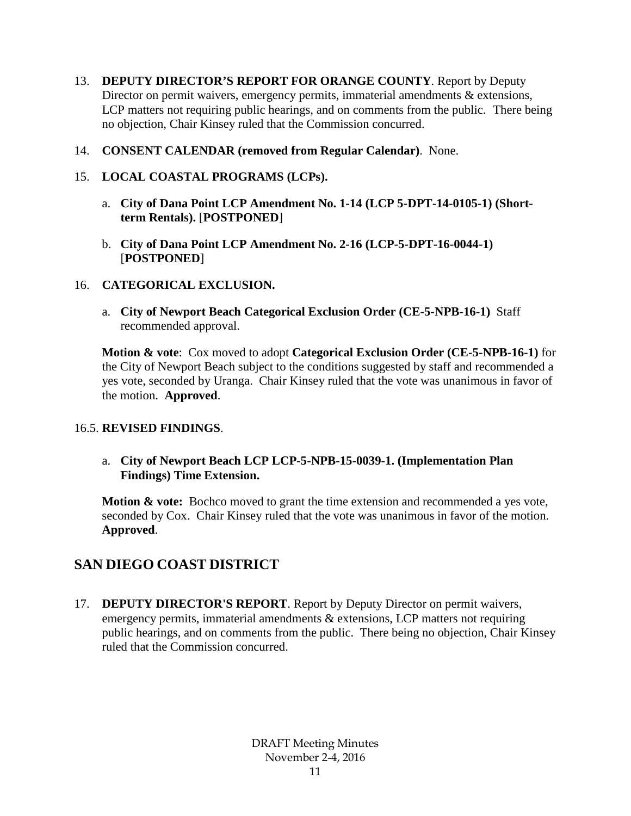- 13. **DEPUTY DIRECTOR'S REPORT FOR ORANGE COUNTY**. Report by Deputy Director on permit waivers, emergency permits, immaterial amendments & extensions, LCP matters not requiring public hearings, and on comments from the public. There being no objection, Chair Kinsey ruled that the Commission concurred.
- 14. **CONSENT CALENDAR (removed from Regular Calendar)**. None.
- 15. **LOCAL COASTAL PROGRAMS (LCPs).** 
	- a. **City of Dana Point LCP Amendment No. 1-14 (LCP 5-DPT-14-0105-1) (Shortterm Rentals).** [**POSTPONED**]
	- b. **City of Dana Point LCP Amendment No. 2-16 (LCP-5-DPT-16-0044-1)** [**POSTPONED**]

## 16. **CATEGORICAL EXCLUSION.**

a. **City of Newport Beach Categorical Exclusion Order (CE-5-NPB-16-1)** Staff recommended approval.

**Motion & vote**: Cox moved to adopt **Categorical Exclusion Order (CE-5-NPB-16-1)** for the City of Newport Beach subject to the conditions suggested by staff and recommended a yes vote, seconded by Uranga. Chair Kinsey ruled that the vote was unanimous in favor of the motion. **Approved**.

## 16.5. **REVISED FINDINGS**.

### a. **City of Newport Beach LCP LCP-5-NPB-15-0039-1. (Implementation Plan Findings) Time Extension.**

**Motion & vote:** Bochco moved to grant the time extension and recommended a yes vote, seconded by Cox. Chair Kinsey ruled that the vote was unanimous in favor of the motion. **Approved**.

# **SAN DIEGO COAST DISTRICT**

17. **DEPUTY DIRECTOR'S REPORT**. Report by Deputy Director on permit waivers, emergency permits, immaterial amendments & extensions, LCP matters not requiring public hearings, and on comments from the public. There being no objection, Chair Kinsey ruled that the Commission concurred.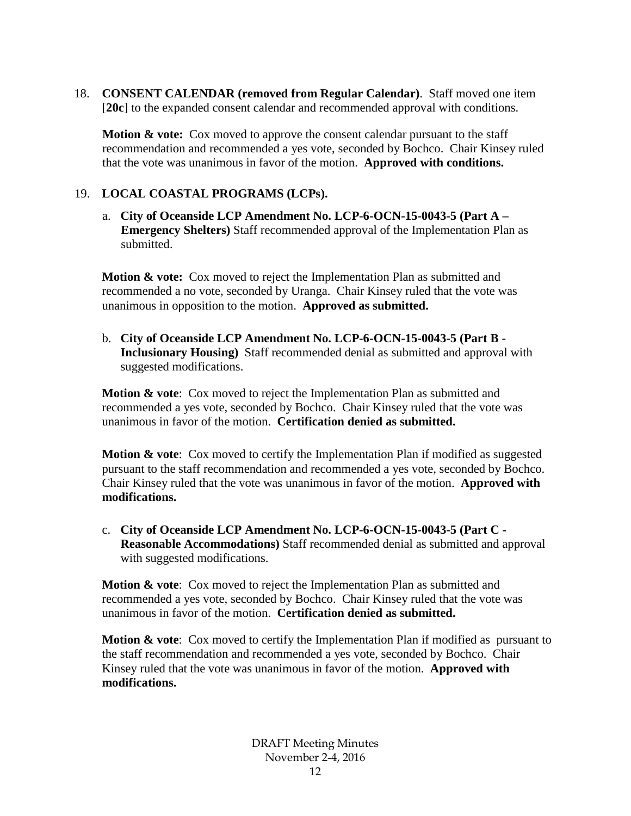18. **CONSENT CALENDAR (removed from Regular Calendar)**. Staff moved one item [**20c**] to the expanded consent calendar and recommended approval with conditions.

**Motion & vote:** Cox moved to approve the consent calendar pursuant to the staff recommendation and recommended a yes vote, seconded by Bochco. Chair Kinsey ruled that the vote was unanimous in favor of the motion. **Approved with conditions.**

## 19. **LOCAL COASTAL PROGRAMS (LCPs).**

a. **City of Oceanside LCP Amendment No. LCP-6-OCN-15-0043-5 (Part A – Emergency Shelters)** Staff recommended approval of the Implementation Plan as submitted.

**Motion & vote:** Cox moved to reject the Implementation Plan as submitted and recommended a no vote, seconded by Uranga. Chair Kinsey ruled that the vote was unanimous in opposition to the motion. **Approved as submitted.**

b. **City of Oceanside LCP Amendment No. LCP-6-OCN-15-0043-5 (Part B - Inclusionary Housing)** Staff recommended denial as submitted and approval with suggested modifications.

**Motion & vote**: Cox moved to reject the Implementation Plan as submitted and recommended a yes vote, seconded by Bochco. Chair Kinsey ruled that the vote was unanimous in favor of the motion. **Certification denied as submitted.**

**Motion & vote:** Cox moved to certify the Implementation Plan if modified as suggested pursuant to the staff recommendation and recommended a yes vote, seconded by Bochco. Chair Kinsey ruled that the vote was unanimous in favor of the motion. **Approved with modifications.** 

c. **City of Oceanside LCP Amendment No. LCP-6-OCN-15-0043-5 (Part C - Reasonable Accommodations)** Staff recommended denial as submitted and approval with suggested modifications.

**Motion & vote**: Cox moved to reject the Implementation Plan as submitted and recommended a yes vote, seconded by Bochco. Chair Kinsey ruled that the vote was unanimous in favor of the motion. **Certification denied as submitted.**

**Motion & vote:** Cox moved to certify the Implementation Plan if modified as pursuant to the staff recommendation and recommended a yes vote, seconded by Bochco. Chair Kinsey ruled that the vote was unanimous in favor of the motion. **Approved with modifications.**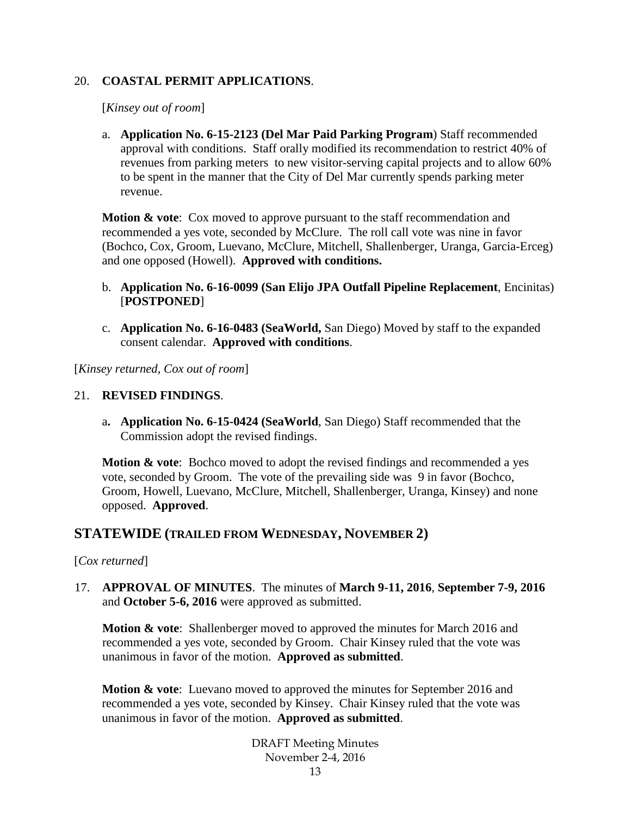### 20. **COASTAL PERMIT APPLICATIONS**.

[*Kinsey out of room*]

a. **Application No. 6-15-2123 (Del Mar Paid Parking Program**) Staff recommended approval with conditions. Staff orally modified its recommendation to restrict 40% of revenues from parking meters to new visitor-serving capital projects and to allow 60% to be spent in the manner that the City of Del Mar currently spends parking meter revenue.

**Motion & vote:** Cox moved to approve pursuant to the staff recommendation and recommended a yes vote, seconded by McClure. The roll call vote was nine in favor (Bochco, Cox, Groom, Luevano, McClure, Mitchell, Shallenberger, Uranga, Garcia-Erceg) and one opposed (Howell). **Approved with conditions.**

- b. **Application No. 6-16-0099 (San Elijo JPA Outfall Pipeline Replacement**, Encinitas) [**POSTPONED**]
- c. **Application No. 6-16-0483 (SeaWorld,** San Diego) Moved by staff to the expanded consent calendar. **Approved with conditions**.

[*Kinsey returned, Cox out of room*]

#### 21. **REVISED FINDINGS**.

a**. Application No. 6-15-0424 (SeaWorld**, San Diego) Staff recommended that the Commission adopt the revised findings.

**Motion & vote**: Bochco moved to adopt the revised findings and recommended a yes vote, seconded by Groom. The vote of the prevailing side was 9 in favor (Bochco, Groom, Howell, Luevano, McClure, Mitchell, Shallenberger, Uranga, Kinsey) and none opposed. **Approved**.

## **STATEWIDE (TRAILED FROM WEDNESDAY, NOVEMBER 2)**

#### [*Cox returned*]

17. **APPROVAL OF MINUTES**. The minutes of **March 9-11, 2016**, **September 7-9, 2016** and **October 5-6, 2016** were approved as submitted.

**Motion & vote**: Shallenberger moved to approved the minutes for March 2016 and recommended a yes vote, seconded by Groom. Chair Kinsey ruled that the vote was unanimous in favor of the motion. **Approved as submitted**.

**Motion & vote**: Luevano moved to approved the minutes for September 2016 and recommended a yes vote, seconded by Kinsey. Chair Kinsey ruled that the vote was unanimous in favor of the motion. **Approved as submitted**.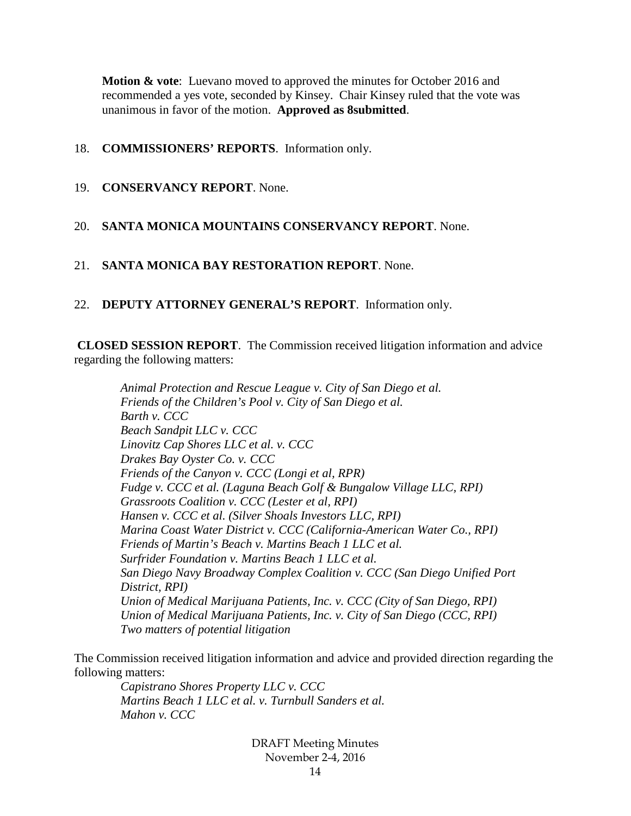**Motion & vote**: Luevano moved to approved the minutes for October 2016 and recommended a yes vote, seconded by Kinsey. Chair Kinsey ruled that the vote was unanimous in favor of the motion. **Approved as 8submitted**.

### 18. **COMMISSIONERS' REPORTS**. Information only.

19. **CONSERVANCY REPORT**. None.

## 20. **SANTA MONICA MOUNTAINS CONSERVANCY REPORT**. None.

- 21. **SANTA MONICA BAY RESTORATION REPORT**. None.
- 22. **DEPUTY ATTORNEY GENERAL'S REPORT**. Information only.

**CLOSED SESSION REPORT**. The Commission received litigation information and advice regarding the following matters:

*Animal Protection and Rescue League v. City of San Diego et al. Friends of the Children's Pool v. City of San Diego et al. Barth v. CCC Beach Sandpit LLC v. CCC Linovitz Cap Shores LLC et al. v. CCC Drakes Bay Oyster Co. v. CCC Friends of the Canyon v. CCC (Longi et al, RPR) Fudge v. CCC et al. (Laguna Beach Golf & Bungalow Village LLC, RPI) Grassroots Coalition v. CCC (Lester et al, RPI) Hansen v. CCC et al. (Silver Shoals Investors LLC, RPI) Marina Coast Water District v. CCC (California-American Water Co., RPI) Friends of Martin's Beach v. Martins Beach 1 LLC et al. Surfrider Foundation v. Martins Beach 1 LLC et al. San Diego Navy Broadway Complex Coalition v. CCC (San Diego Unified Port District, RPI) Union of Medical Marijuana Patients, Inc. v. CCC (City of San Diego, RPI) Union of Medical Marijuana Patients, Inc. v. City of San Diego (CCC, RPI) Two matters of potential litigation*

The Commission received litigation information and advice and provided direction regarding the following matters:

*Capistrano Shores Property LLC v. CCC Martins Beach 1 LLC et al. v. Turnbull Sanders et al. Mahon v. CCC*